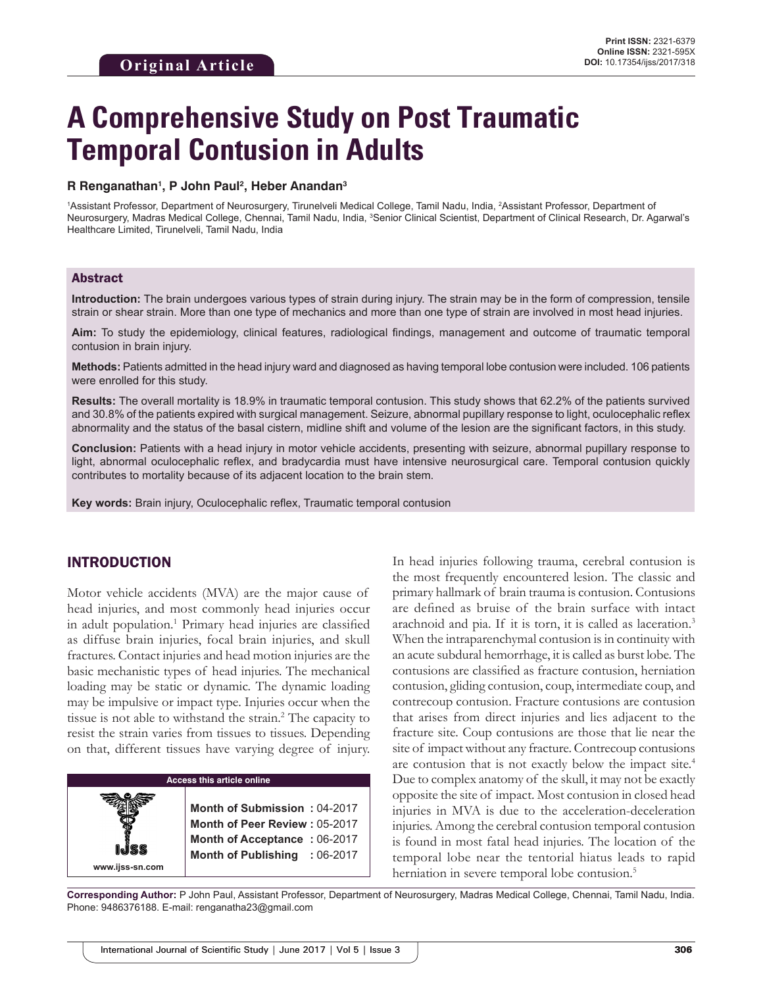# **A Comprehensive Study on Post Traumatic Temporal Contusion in Adults**

#### **R Renganathan1 , P John Paul2 , Heber Anandan3**

1Assistant Professor, Department of Neurosurgery, Tirunelveli Medical College, Tamil Nadu, India, <sup>2</sup>Assistant Professor, Department of Neurosurgery, Madras Medical College, Chennai, Tamil Nadu, India, <sup>3</sup>Senior Clinical Scientist, Department of Clinical Research, Dr. Agarwal's Healthcare Limited, Tirunelveli, Tamil Nadu, India

## Abstract

**Introduction:** The brain undergoes various types of strain during injury. The strain may be in the form of compression, tensile strain or shear strain. More than one type of mechanics and more than one type of strain are involved in most head injuries.

**Aim:** To study the epidemiology, clinical features, radiological findings, management and outcome of traumatic temporal contusion in brain injury.

**Methods:** Patients admitted in the head injury ward and diagnosed as having temporal lobe contusion were included. 106 patients were enrolled for this study.

**Results:** The overall mortality is 18.9% in traumatic temporal contusion. This study shows that 62.2% of the patients survived and 30.8% of the patients expired with surgical management. Seizure, abnormal pupillary response to light, oculocephalic reflex abnormality and the status of the basal cistern, midline shift and volume of the lesion are the significant factors, in this study.

**Conclusion:** Patients with a head injury in motor vehicle accidents, presenting with seizure, abnormal pupillary response to light, abnormal oculocephalic reflex, and bradycardia must have intensive neurosurgical care. Temporal contusion quickly contributes to mortality because of its adjacent location to the brain stem.

**Key words:** Brain injury, Oculocephalic reflex, Traumatic temporal contusion

## INTRODUCTION

**www.ijss-sn.com**

Motor vehicle accidents (MVA) are the major cause of head injuries, and most commonly head injuries occur in adult population.<sup>1</sup> Primary head injuries are classified as diffuse brain injuries, focal brain injuries, and skull fractures. Contact injuries and head motion injuries are the basic mechanistic types of head injuries. The mechanical loading may be static or dynamic. The dynamic loading may be impulsive or impact type. Injuries occur when the tissue is not able to withstand the strain.<sup>2</sup> The capacity to resist the strain varies from tissues to tissues. Depending on that, different tissues have varying degree of injury.

# **Access this article online**

**Month of Submission :** 04-2017 **Month of Peer Review :** 05-2017 **Month of Acceptance :** 06-2017 **Month of Publishing :** 06-2017 In head injuries following trauma, cerebral contusion is the most frequently encountered lesion. The classic and primary hallmark of brain trauma is contusion. Contusions are defined as bruise of the brain surface with intact arachnoid and pia. If it is torn, it is called as laceration.3 When the intraparenchymal contusion is in continuity with an acute subdural hemorrhage, it is called as burst lobe. The contusions are classified as fracture contusion, herniation contusion, gliding contusion, coup, intermediate coup, and contrecoup contusion. Fracture contusions are contusion that arises from direct injuries and lies adjacent to the fracture site. Coup contusions are those that lie near the site of impact without any fracture. Contrecoup contusions are contusion that is not exactly below the impact site.<sup>4</sup> Due to complex anatomy of the skull, it may not be exactly opposite the site of impact. Most contusion in closed head injuries in MVA is due to the acceleration-deceleration injuries. Among the cerebral contusion temporal contusion is found in most fatal head injuries. The location of the temporal lobe near the tentorial hiatus leads to rapid herniation in severe temporal lobe contusion.<sup>5</sup>

**Corresponding Author:** P John Paul, Assistant Professor, Department of Neurosurgery, Madras Medical College, Chennai, Tamil Nadu, India. Phone: 9486376188. E-mail: renganatha23@gmail.com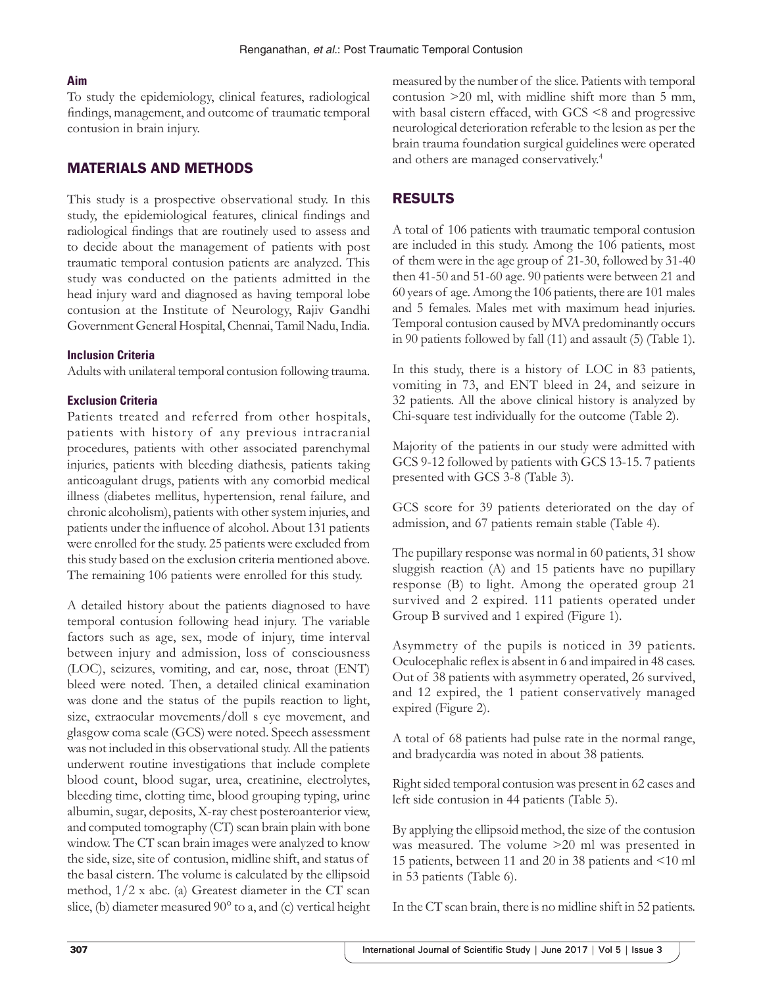#### **Aim**

To study the epidemiology, clinical features, radiological findings, management, and outcome of traumatic temporal contusion in brain injury.

## MATERIALS AND METHODS

This study is a prospective observational study. In this study, the epidemiological features, clinical findings and radiological findings that are routinely used to assess and to decide about the management of patients with post traumatic temporal contusion patients are analyzed. This study was conducted on the patients admitted in the head injury ward and diagnosed as having temporal lobe contusion at the Institute of Neurology, Rajiv Gandhi Government General Hospital, Chennai, Tamil Nadu, India.

#### **Inclusion Criteria**

Adults with unilateral temporal contusion following trauma.

#### **Exclusion Criteria**

Patients treated and referred from other hospitals, patients with history of any previous intracranial procedures, patients with other associated parenchymal injuries, patients with bleeding diathesis, patients taking anticoagulant drugs, patients with any comorbid medical illness (diabetes mellitus, hypertension, renal failure, and chronic alcoholism), patients with other system injuries, and patients under the influence of alcohol. About 131 patients were enrolled for the study. 25 patients were excluded from this study based on the exclusion criteria mentioned above. The remaining 106 patients were enrolled for this study.

A detailed history about the patients diagnosed to have temporal contusion following head injury. The variable factors such as age, sex, mode of injury, time interval between injury and admission, loss of consciousness (LOC), seizures, vomiting, and ear, nose, throat (ENT) bleed were noted. Then, a detailed clinical examination was done and the status of the pupils reaction to light, size, extraocular movements/doll s eye movement, and glasgow coma scale (GCS) were noted. Speech assessment was not included in this observational study. All the patients underwent routine investigations that include complete blood count, blood sugar, urea, creatinine, electrolytes, bleeding time, clotting time, blood grouping typing, urine albumin, sugar, deposits, X-ray chest posteroanterior view, and computed tomography (CT) scan brain plain with bone window. The CT scan brain images were analyzed to know the side, size, site of contusion, midline shift, and status of the basal cistern. The volume is calculated by the ellipsoid method, 1/2 x abc. (a) Greatest diameter in the CT scan slice, (b) diameter measured 90° to a, and (c) vertical height measured by the number of the slice. Patients with temporal contusion >20 ml, with midline shift more than 5 mm, with basal cistern effaced, with GCS <8 and progressive neurological deterioration referable to the lesion as per the brain trauma foundation surgical guidelines were operated and others are managed conservatively.4

# RESULTS

A total of 106 patients with traumatic temporal contusion are included in this study. Among the 106 patients, most of them were in the age group of 21-30, followed by 31-40 then 41-50 and 51-60 age. 90 patients were between 21 and 60 years of age. Among the 106 patients, there are 101 males and 5 females. Males met with maximum head injuries. Temporal contusion caused by MVA predominantly occurs in 90 patients followed by fall (11) and assault (5) (Table 1).

In this study, there is a history of LOC in 83 patients, vomiting in 73, and ENT bleed in 24, and seizure in 32 patients. All the above clinical history is analyzed by Chi-square test individually for the outcome (Table 2).

Majority of the patients in our study were admitted with GCS 9-12 followed by patients with GCS 13-15. 7 patients presented with GCS 3-8 (Table 3).

GCS score for 39 patients deteriorated on the day of admission, and 67 patients remain stable (Table 4).

The pupillary response was normal in 60 patients, 31 show sluggish reaction (A) and 15 patients have no pupillary response (B) to light. Among the operated group 21 survived and 2 expired. 111 patients operated under Group B survived and 1 expired (Figure 1).

Asymmetry of the pupils is noticed in 39 patients. Oculocephalic reflex is absent in 6 and impaired in 48 cases. Out of 38 patients with asymmetry operated, 26 survived, and 12 expired, the 1 patient conservatively managed expired (Figure 2).

A total of 68 patients had pulse rate in the normal range, and bradycardia was noted in about 38 patients.

Right sided temporal contusion was present in 62 cases and left side contusion in 44 patients (Table 5).

By applying the ellipsoid method, the size of the contusion was measured. The volume >20 ml was presented in 15 patients, between 11 and 20 in 38 patients and <10 ml in 53 patients (Table 6).

In the CT scan brain, there is no midline shift in 52 patients.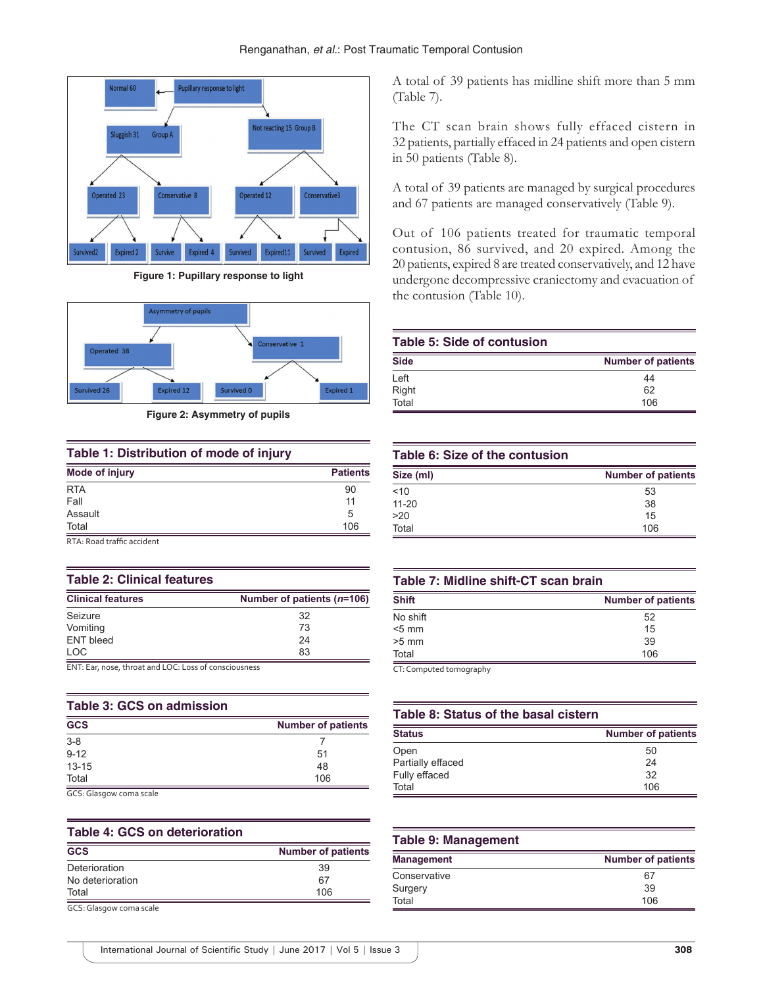

**Figure 1: Pupillary response to light**



**Figure 2: Asymmetry of pupils**

#### **Table 1: Distribution of mode of injury**

| <b>Patients</b> |
|-----------------|
| 90              |
| 11              |
| 5               |
| 106             |
|                 |

RTA: Road traffic accident

#### **Table 2: Clinical features**

| <b>Clinical features</b> | Number of patients $(n=106)$ |
|--------------------------|------------------------------|
| Seizure                  | 32                           |
| Vomiting                 | 73                           |
| <b>ENT bleed</b>         | 24                           |
| LOC.                     | 83                           |

ENT: Ear, nose, throat and LOC: Loss of consciousness

| <b>Table 3: GCS on admission</b> |                           |
|----------------------------------|---------------------------|
| <b>GCS</b>                       | <b>Number of patients</b> |
| $3 - 8$                          |                           |
| $9 - 12$                         | 51                        |
| $13 - 15$                        | 48                        |
| Total                            | 106                       |
| $\sim$<br>.                      |                           |

GCS: Glasgow coma scale

## **Table 4: GCS on deterioration**

| <b>GCS</b>       | <b>Number of patients</b> |
|------------------|---------------------------|
| Deterioration    | 39                        |
| No deterioration | 67                        |
| Total            | 106                       |

GCS: Glasgow coma scale

A total of 39 patients has midline shift more than 5 mm (Table 7).

The CT scan brain shows fully effaced cistern in 32 patients, partially effaced in 24 patients and open cistern in 50 patients (Table 8).

A total of 39 patients are managed by surgical procedures and 67 patients are managed conservatively (Table 9).

Out of 106 patients treated for traumatic temporal contusion, 86 survived, and 20 expired. Among the 20 patients, expired 8 are treated conservatively, and 12 have undergone decompressive craniectomy and evacuation of the contusion (Table 10).

# **Table 5: Side of contusion**

| <b>Side</b> | <b>Number of patients</b> |
|-------------|---------------------------|
| Left        | 44                        |
| Right       | 62                        |
| Total       | 106                       |

## **Table 6: Size of the contusion**

| Size (ml) | <b>Number of patients</b> |
|-----------|---------------------------|
| 10<       | 53                        |
| $11 - 20$ | 38                        |
| >20       | 15                        |
| Total     | 106                       |

## **Table 7: Midline shift‑CT scan brain**

| <b>Shift</b>            | <b>Number of patients</b> |
|-------------------------|---------------------------|
| No shift                | 52                        |
| $< 5$ mm                | 15                        |
| $>5$ mm                 | 39                        |
| Total                   | 106                       |
| CT: Computed tomography |                           |

ography

## **Table 8: Status of the basal cistern**

| <b>Status</b>     | <b>Number of patients</b> |
|-------------------|---------------------------|
| Open              | 50                        |
| Partially effaced | 24                        |
| Fully effaced     | 32                        |
| Total             | 106                       |

| <b>Table 9: Management</b> |                           |
|----------------------------|---------------------------|
| <b>Management</b>          | <b>Number of patients</b> |
| Conservative               | 67                        |
| Surgery                    | 39                        |
| Total                      | 106                       |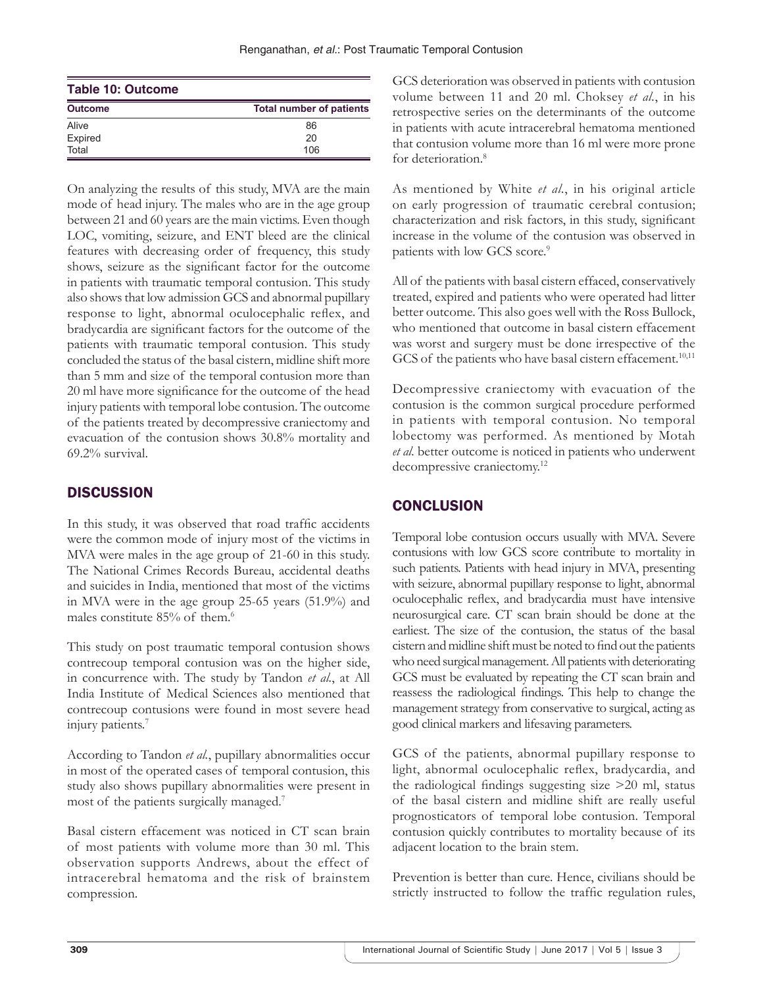| <b>Table 10: Outcome</b> |                                 |
|--------------------------|---------------------------------|
| <b>Outcome</b>           | <b>Total number of patients</b> |
| Alive                    | 86                              |
| Expired                  | 20                              |
| Total                    | 106                             |

On analyzing the results of this study, MVA are the main mode of head injury. The males who are in the age group between 21 and 60 years are the main victims. Even though LOC, vomiting, seizure, and ENT bleed are the clinical features with decreasing order of frequency, this study shows, seizure as the significant factor for the outcome in patients with traumatic temporal contusion. This study also shows that low admission GCS and abnormal pupillary response to light, abnormal oculocephalic reflex, and bradycardia are significant factors for the outcome of the patients with traumatic temporal contusion. This study concluded the status of the basal cistern, midline shift more than 5 mm and size of the temporal contusion more than 20 ml have more significance for the outcome of the head injury patients with temporal lobe contusion. The outcome of the patients treated by decompressive craniectomy and evacuation of the contusion shows 30.8% mortality and 69.2% survival.

# **DISCUSSION**

In this study, it was observed that road traffic accidents were the common mode of injury most of the victims in MVA were males in the age group of 21-60 in this study. The National Crimes Records Bureau, accidental deaths and suicides in India, mentioned that most of the victims in MVA were in the age group 25-65 years (51.9%) and males constitute 85% of them.<sup>6</sup>

This study on post traumatic temporal contusion shows contrecoup temporal contusion was on the higher side, in concurrence with. The study by Tandon *et al.*, at All India Institute of Medical Sciences also mentioned that contrecoup contusions were found in most severe head injury patients.<sup>7</sup>

According to Tandon *et al.*, pupillary abnormalities occur in most of the operated cases of temporal contusion, this study also shows pupillary abnormalities were present in most of the patients surgically managed.7

Basal cistern effacement was noticed in CT scan brain of most patients with volume more than 30 ml. This observation supports Andrews, about the effect of intracerebral hematoma and the risk of brainstem compression.

GCS deterioration was observed in patients with contusion volume between 11 and 20 ml. Choksey *et al.*, in his retrospective series on the determinants of the outcome in patients with acute intracerebral hematoma mentioned that contusion volume more than 16 ml were more prone for deterioration.<sup>8</sup>

As mentioned by White *et al.*, in his original article on early progression of traumatic cerebral contusion; characterization and risk factors, in this study, significant increase in the volume of the contusion was observed in patients with low GCS score.<sup>9</sup>

All of the patients with basal cistern effaced, conservatively treated, expired and patients who were operated had litter better outcome. This also goes well with the Ross Bullock, who mentioned that outcome in basal cistern effacement was worst and surgery must be done irrespective of the GCS of the patients who have basal cistern effacement.<sup>10,11</sup>

Decompressive craniectomy with evacuation of the contusion is the common surgical procedure performed in patients with temporal contusion. No temporal lobectomy was performed. As mentioned by Motah *et al.* better outcome is noticed in patients who underwent decompressive craniectomy.<sup>12</sup>

# **CONCLUSION**

Temporal lobe contusion occurs usually with MVA. Severe contusions with low GCS score contribute to mortality in such patients. Patients with head injury in MVA, presenting with seizure, abnormal pupillary response to light, abnormal oculocephalic reflex, and bradycardia must have intensive neurosurgical care. CT scan brain should be done at the earliest. The size of the contusion, the status of the basal cistern and midline shift must be noted to find out the patients who need surgical management. All patients with deteriorating GCS must be evaluated by repeating the CT scan brain and reassess the radiological findings. This help to change the management strategy from conservative to surgical, acting as good clinical markers and lifesaving parameters.

GCS of the patients, abnormal pupillary response to light, abnormal oculocephalic reflex, bradycardia, and the radiological findings suggesting size >20 ml, status of the basal cistern and midline shift are really useful prognosticators of temporal lobe contusion. Temporal contusion quickly contributes to mortality because of its adjacent location to the brain stem.

Prevention is better than cure. Hence, civilians should be strictly instructed to follow the traffic regulation rules,